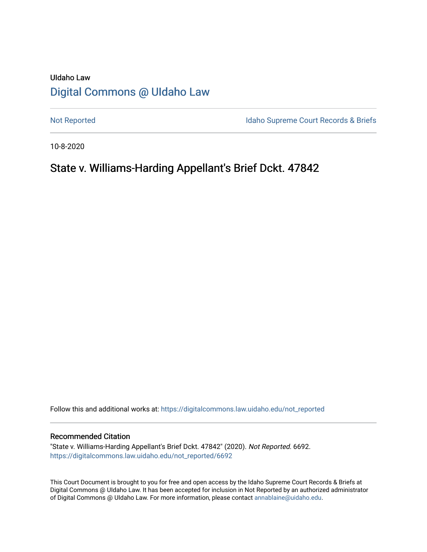# UIdaho Law [Digital Commons @ UIdaho Law](https://digitalcommons.law.uidaho.edu/)

[Not Reported](https://digitalcommons.law.uidaho.edu/not_reported) **Idaho Supreme Court Records & Briefs** 

10-8-2020

# State v. Williams-Harding Appellant's Brief Dckt. 47842

Follow this and additional works at: [https://digitalcommons.law.uidaho.edu/not\\_reported](https://digitalcommons.law.uidaho.edu/not_reported?utm_source=digitalcommons.law.uidaho.edu%2Fnot_reported%2F6692&utm_medium=PDF&utm_campaign=PDFCoverPages) 

### Recommended Citation

"State v. Williams-Harding Appellant's Brief Dckt. 47842" (2020). Not Reported. 6692. [https://digitalcommons.law.uidaho.edu/not\\_reported/6692](https://digitalcommons.law.uidaho.edu/not_reported/6692?utm_source=digitalcommons.law.uidaho.edu%2Fnot_reported%2F6692&utm_medium=PDF&utm_campaign=PDFCoverPages)

This Court Document is brought to you for free and open access by the Idaho Supreme Court Records & Briefs at Digital Commons @ UIdaho Law. It has been accepted for inclusion in Not Reported by an authorized administrator of Digital Commons @ UIdaho Law. For more information, please contact [annablaine@uidaho.edu](mailto:annablaine@uidaho.edu).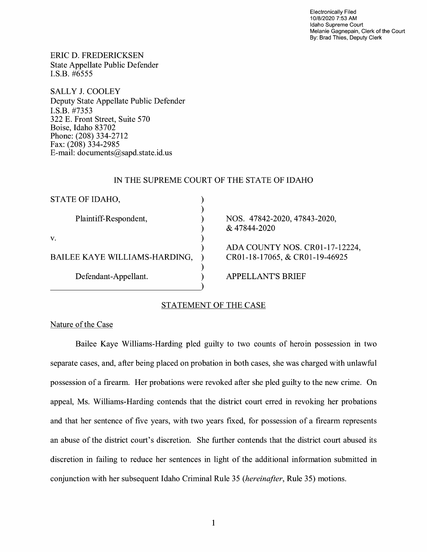Electronically Filed 10/8/2020 7:53 AM Idaho Supreme Court Melanie Gagnepain, Clerk of the Court By: Brad Thies, Deputy Clerk

ERIC D. FREDERICKSEN State Appellate Public Defender I.S.B. #6555

SALLY J. COOLEY Deputy State Appellate Public Defender I.S.B. #7353 322 E. Front Street, Suite 570 Boise, Idaho 83702 Phone: (208) 334-2712 Fax: (208) 334-2985 E-mail: documents@sapd.state.id. us

## IN THE SUPREME COURT OF THE STATE OF IDAHO

| STATE OF IDAHO,               |      |
|-------------------------------|------|
|                               |      |
| Plaintiff-Respondent,         | NOS. |
|                               | & 47 |
| V.                            |      |
|                               | ADA  |
| BAILEE KAYE WILLIAMS-HARDING, | CR01 |
|                               |      |
| Defendant-Appellant.          | РF   |
|                               |      |

NOS. 47842-2020, 47843-2020, 844-2020

COUNTY NOS. CR01-17-12224, CR0l-18-17065, & CR0l-19-46925

ELLANT'S BRIEF

# STATEMENT OF THE CASE

Nature of the Case

Bailee Kaye Williams-Harding pied guilty to two counts of heroin possession in two separate cases, and, after being placed on probation in both cases, she was charged with unlawful possession of a firearm. Her probations were revoked after she pied guilty to the new crime. On appeal, Ms. Williams-Harding contends that the district court erred in revoking her probations and that her sentence of five years, with two years fixed, for possession of a firearm represents an abuse of the district court's discretion. She further contends that the district court abused its discretion in failing to reduce her sentences in light of the additional information submitted in conjunction with her subsequent Idaho Criminal Rule 35 *(hereinafter,* Rule 35) motions.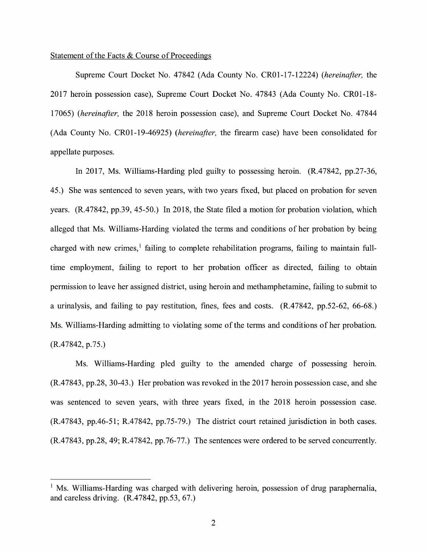## Statement of the Facts & Course of Proceedings

Supreme Court Docket No. 47842 (Ada County No. CR0l-17-12224) *(hereinafter,* the 2017 heroin possession case), Supreme Court Docket No. 47843 (Ada County No. CR0l-18- 17065) *(hereinafter,* the 2018 heroin possession case), and Supreme Court Docket No. 47844 (Ada County No. CR0l-19-46925) *(hereinafter,* the firearm case) have been consolidated for appellate purposes.

In 2017, Ms. Williams-Harding pled guilty to possessing heroin. (R.47842, pp.27-36, 45.) She was sentenced to seven years, with two years fixed, but placed on probation for seven years. (R.47842, pp.39, 45-50.) In 2018, the State filed a motion for probation violation, which alleged that Ms. Williams-Harding violated the terms and conditions of her probation by being charged with new crimes, $\frac{1}{2}$  failing to complete rehabilitation programs, failing to maintain fulltime employment, failing to report to her probation officer as directed, failing to obtain permission to leave her assigned district, using heroin and methamphetamine, failing to submit to a urinalysis, and failing to pay restitution, fmes, fees and costs. (R.47842, pp.52-62, 66-68.) Ms. Williams-Harding admitting to violating some of the terms and conditions of her probation.  $(R.47842, p.75.)$ 

Ms. Williams-Harding pled guilty to the amended charge of possessing heroin. (R.47843, pp.28, 30-43.) Her probation was revoked in the 2017 heroin possession case, and she was sentenced to seven years, with three years fixed, in the 2018 heroin possession case. (R.47843, pp.46-51; R.47842, pp.75-79.) The district court retained jurisdiction in both cases. (R.47843, pp.28, 49; R.47842, pp.76-77.) The sentences were ordered to be served concurrently.

 $<sup>1</sup>$  Ms. Williams-Harding was charged with delivering heroin, possession of drug paraphernalia,</sup> and careless driving. (R.47842, pp.53, 67.)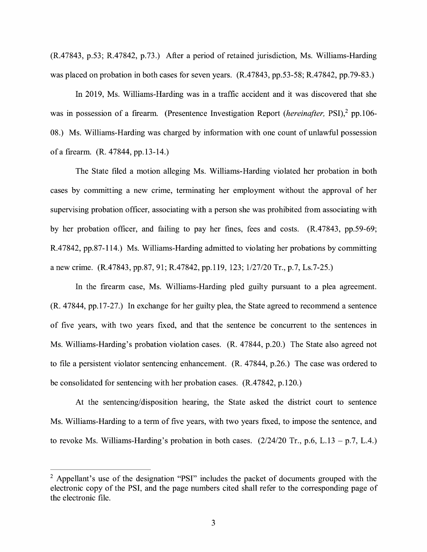(R.47843, p.53; R.47842, p.73.) After a period of retained jurisdiction, Ms. Williams-Harding was placed on probation in both cases for seven years. (R.47843, pp.53-58; R.47842, pp.79-83.)

In 2019, Ms. Williams-Harding was in a traffic accident and it was discovered that she was in possession of a firearm. (Presentence Investigation Report (*hereinafter*, PSI),<sup>2</sup> pp. 106-08.) Ms. Williams-Harding was charged by information with one count of unlawful possession of a firearm. (R. 47844, pp.13-14.)

The State filed a motion alleging Ms. Williams-Harding violated her probation in both cases by committing a new crime, terminating her employment without the approval of her supervising probation officer, associating with a person she was prohibited from associating with by her probation officer, and failing to pay her fines, fees and costs. (R.47843, pp.59-69; R.47842, pp.87-114.) Ms. Williams-Harding admitted to violating her probations by committing a new crime. (R.47843, pp.87, 91; R.47842, pp.I 19, 123; 1/27/20 Tr., p.7, Ls.7-25.)

In the firearm case, Ms. Williams-Harding pled guilty pursuant to a plea agreement. (R. 47844, pp.17-27.) In exchange for her guilty plea, the State agreed to recommend a sentence of five years, with two years fixed, and that the sentence be concurrent to the sentences in Ms. Williams-Harding's probation violation cases. (R. 47844, p.20.) The State also agreed not to file a persistent violator sentencing enhancement. (R. 47844, p.26.) The case was ordered to be consolidated for sentencing with her probation cases. (R.47842, p.120.)

At the sentencing/disposition hearing, the State asked the district court to sentence Ms. Williams-Harding to a term of five years, with two years fixed, to impose the sentence, and to revoke Ms. Williams-Harding's probation in both cases.  $(2/24/20 \text{ Tr}$ , p.6, L.13 – p.7, L.4.)

<sup>&</sup>lt;sup>2</sup> Appellant's use of the designation "PSI" includes the packet of documents grouped with the electronic copy of the PSI, and the page numbers cited shall refer to the corresponding page of the electronic file.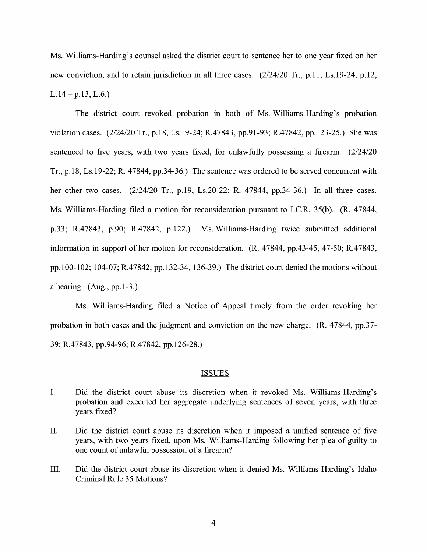Ms. Williams-Harding's counsel asked the district court to sentence her to one year fixed on her new conviction, and to retain jurisdiction in all three cases. (2/24/20 Tr., p.11, Ls.19-24; p.12,  $L.14 - p.13, L.6.$ 

The district court revoked probation in both of Ms. Williams-Harding's probation violation cases. (2/24/20 Tr., p.18, Ls.19-24; R.47843, pp.91-93; R.47842, pp.123-25.) She was sentenced to five years, with two years fixed, for unlawfully possessing a firearm. (2/24/20 Tr., p.18, Ls.19-22; R. 47844, pp.34-36.) The sentence was ordered to be served concurrent with her other two cases. (2/24/20 Tr., p.19, Ls.20-22; R. 47844, pp.34-36.) In all three cases, Ms. Williams-Harding filed a motion for reconsideration pursuant to I.C.R. 35(b). (R. 47844, p.33; R.47843, p.90; R.47842, p.122.) Ms. Williams-Harding twice submitted additional information in support of her motion for reconsideration. (R. 47844, pp.43-45, 47-50; R.47843, pp.100-102; 104-07; R.47842, pp.132-34, 136-39.) The district court denied the motions without a hearing. (Aug., pp.1-3.)

Ms. Williams-Harding filed a Notice of Appeal timely from the order revoking her probation in both cases and the judgment and conviction on the new charge. (R. 47844, pp.37- 39; R.47843, pp.94-96; R.47842, pp.126-28.)

### ISSUES

- I. Did the district court abuse its discretion when it revoked Ms. Williams-Harding's probation and executed her aggregate underlying sentences of seven years, with three years fixed?
- II. Did the district court abuse its discretion when it imposed a unified sentence of five years, with two years fixed, upon Ms. Williams-Harding following her plea of guilty to one count of unlawful possession of a firearm?
- III. Did the district court abuse its discretion when it denied Ms. Williams-Harding's Idaho Criminal Rule 35 Motions?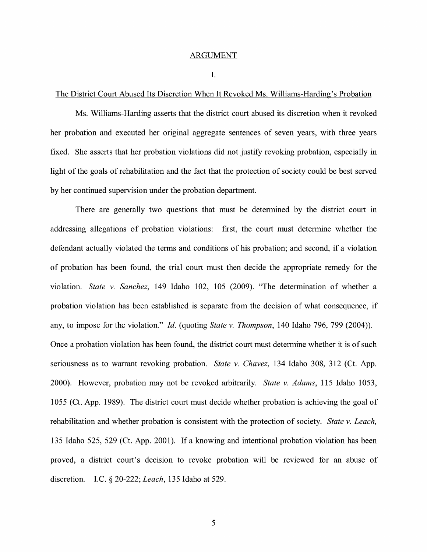#### ARGUMENT

I.

## The District Court Abused Its Discretion When It Revoked Ms. Williams-Harding's Probation

Ms. Williams-Harding asserts that the district court abused its discretion when it revoked her probation and executed her original aggregate sentences of seven years, with three years fixed. She asserts that her probation violations did not justify revoking probation, especially in light of the goals of rehabilitation and the fact that the protection of society could be best served by her continued supervision under the probation department.

There are generally two questions that must be determined by the district court in addressing allegations of probation violations: first, the court must determine whether the defendant actually violated the terms and conditions of his probation; and second, if a violation of probation has been found, the trial court must then decide the appropriate remedy for the violation. *State v. Sanchez,* 149 Idaho 102, 105 (2009). "The determination of whether a probation violation has been established is separate from the decision of what consequence, if any, to impose for the violation." *Id.* (quoting *State v. Thompson,* 140 Idaho 796, 799 (2004)). Once a probation violation has been found, the district court must determine whether it is of such seriousness as to warrant revoking probation. *State v. Chavez,* 134 Idaho 308, 312 (Ct. App. 2000). However, probation may not be revoked arbitrarily. *State v. Adams,* 115 Idaho 1053, 1055 (Ct. App. 1989). The district court must decide whether probation is achieving the goal of rehabilitation and whether probation is consistent with the protection of society. *State v. Leach,*  135 Idaho 525, 529 (Ct. App. 2001). If a knowing and intentional probation violation has been proved, a district court's decision to revoke probation will be reviewed for an abuse of discretion. LC. § 20-222; *Leach,* 135 Idaho at 529.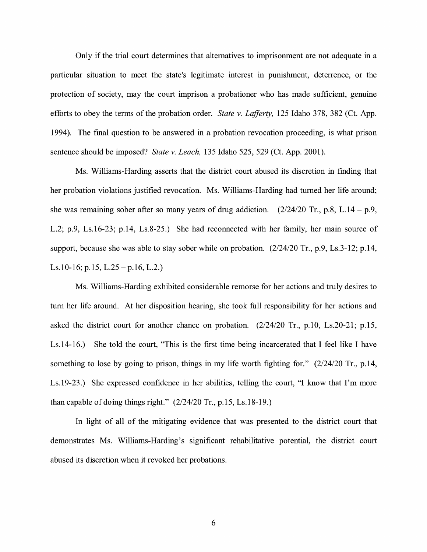Only if the trial court determines that alternatives to imprisonment are not adequate in a particular situation to meet the state's legitimate interest in punishment, deterrence, or the protection of society, may the court imprison a probationer who has made sufficient, genuine efforts to obey the terms of the probation order. *State v. Lafferty,* 125 Idaho 378, 382 (Ct. App. 1994). The final question to be answered in a probation revocation proceeding, is what prison sentence should be imposed? *State v. Leach,* 135 Idaho 525, 529 (Ct. App. 2001).

Ms. Williams-Harding asserts that the district court abused its discretion in finding that her probation violations justified revocation. Ms. Williams-Harding had turned her life around; she was remaining sober after so many years of drug addiction.  $(2/24/20 \text{ Tr.}, p.8, L.14 - p.9,$ L.2; p.9, Ls.16-23; p.14, Ls.8-25.) She had reconnected with her family, her main source of support, because she was able to stay sober while on probation. (2/24/20 Tr., p.9, Ls.3-12; p.14, Ls.10-16; p.15, L.25-p.16, L.2.)

Ms. Williams-Harding exhibited considerable remorse for her actions and truly desires to tum her life around. At her disposition hearing, she took full responsibility for her actions and asked the district court for another chance on probation. (2/24/20 Tr., p.10, Ls.20-21; p.15, Ls.14-16.) She told the court, "This is the first time being incarcerated that I feel like I have something to lose by going to prison, things in my life worth fighting for." (2/24/20 Tr., p.14, Ls.19-23.) She expressed confidence in her abilities, telling the court, "I know that I'm more than capable of doing things right." (2/24/20 Tr., p.15, Ls.18-19.)

In light of all of the mitigating evidence that was presented to the district court that demonstrates Ms. Williams-Harding's significant rehabilitative potential, the district court abused its discretion when it revoked her probations.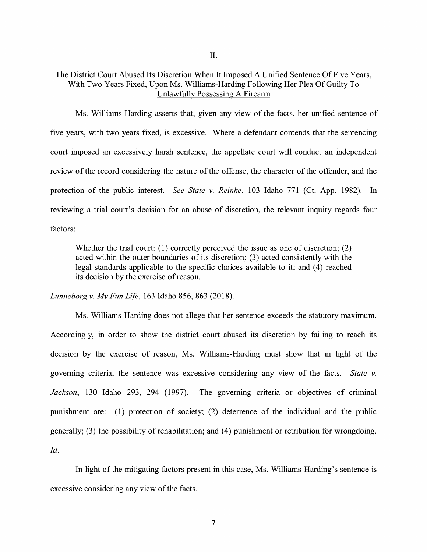II.

# The District Court Abused Its Discretion When It Imposed A Unified Sentence Of Five Years, With Two Years Fixed, Upon Ms. Williams-Harding Following Her Plea Of Guilty To Unlawfully Possessing A Firearm

Ms. Williams-Harding asserts that, given any view of the facts, her unified sentence of five years, with two years fixed, is excessive. Where a defendant contends that the sentencing court imposed an excessively harsh sentence, the appellate court will conduct an independent review of the record considering the nature of the offense, the character of the offender, and the protection of the public interest. *See State v. Reinke,* 103 Idaho 771 (Ct. App. 1982). In reviewing a trial court's decision for an abuse of discretion, the relevant inquiry regards four factors:

Whether the trial court: (1) correctly perceived the issue as one of discretion; (2) acted within the outer boundaries of its discretion; (3) acted consistently with the legal standards applicable to the specific choices available to it; and (4) reached its decision by the exercise of reason.

*Lunneborg v. My Fun Life,* 163 Idaho 856, 863 (2018).

Ms. Williams-Harding does not allege that her sentence exceeds the statutory maximum. Accordingly, in order to show the district court abused its discretion by failing to reach its decision by the exercise of reason, Ms. Williams-Harding must show that in light of the governing criteria, the sentence was excessive considering any view of the facts. *State v. Jackson,* 130 Idaho 293, 294 (1997). The governing criteria or objectives of criminal punishment are: (1) protection of society; (2) deterrence of the individual and the public generally; (3) the possibility of rehabilitation; and (4) punishment or retribution for wrongdoing. *Id.* 

In light of the mitigating factors present in this case, Ms. Williams-Harding's sentence is excessive considering any view of the facts.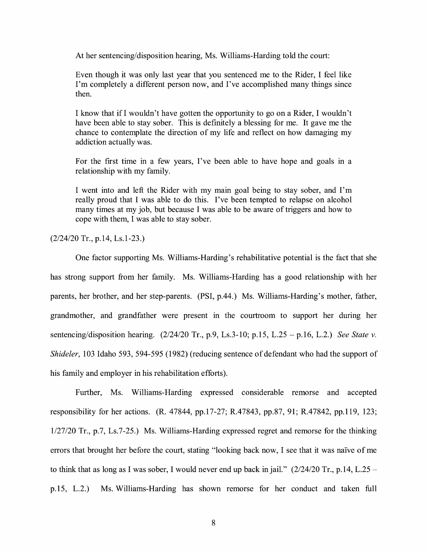At her sentencing/disposition hearing, Ms. Williams-Harding told the court:

Even though it was only last year that you sentenced me to the Rider, I feel like I'm completely a different person now, and I've accomplished many things since then.

I know that if I wouldn't have gotten the opportunity to go on a Rider, I wouldn't have been able to stay sober. This is definitely a blessing for me. It gave me the chance to contemplate the direction of my life and reflect on how damaging my addiction actually was.

For the first time in a few years, I've been able to have hope and goals in a relationship with my family.

I went into and left the Rider with my main goal being to stay sober, and I'm really proud that I was able to do this. I've been tempted to relapse on alcohol many times at my job, but because I was able to be aware of triggers and how to cope with them, I was able to stay sober.

(2/24/20 Tr., p.14, Ls.1-23.)

One factor supporting Ms. Williams-Harding's rehabilitative potential is the fact that she has strong support from her family. Ms. Williams-Harding has a good relationship with her parents, her brother, and her step-parents. (PSI, p.44.) Ms. Williams-Harding's mother, father, grandmother, and grandfather were present in the courtroom to support her during her sentencing/disposition hearing. (2/24/20 Tr., p.9, Ls.3-10; p.15, L.25 - p.16, L.2.) *See State v. Shideler,* 103 Idaho 593, 594-595 (1982) (reducing sentence of defendant who had the support of his family and employer in his rehabilitation efforts).

Further, Ms. Williams-Harding expressed considerable remorse and accepted responsibility for her actions. (R. 47844, pp.17-27; R.47843, pp.87, 91; R.47842, pp.119, 123; 1/27/20 Tr., p.7, Ls.7-25.) Ms. Williams-Harding expressed regret and remorse for the thinking errors that brought her before the court, stating "looking back now, I see that it was naive of me to think that as long as I was sober, I would never end up back in jail."  $(2/24/20 \text{ Tr}$ , p.14, L.25 p.15, L.2.) Ms. Williams-Harding has shown remorse for her conduct and taken full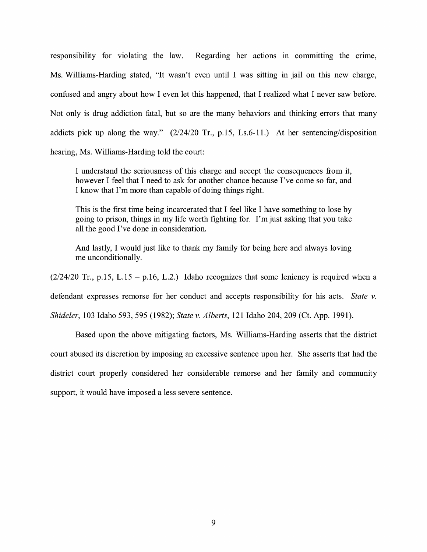responsibility for violating the law. Regarding her actions in committing the crime, Ms. Williams-Harding stated, "It wasn't even until I was sitting in jail on this new charge, confused and angry about how I even let this happened, that I realized what I never saw before. Not only is drug addiction fatal, but so are the many behaviors and thinking errors that many addicts pick up along the way." (2/24/20 Tr., p.15, Ls.6-11.) At her sentencing/disposition hearing, Ms. Williams-Harding told the court:

I understand the seriousness of this charge and accept the consequences from it, however I feel that I need to ask for another chance because I've come so far, and I know that I'm more than capable of doing things right.

This is the first time being incarcerated that I feel like I have something to lose by going to prison, things in my life worth fighting for. I'm just asking that you take all the good I've done in consideration.

And lastly, I would just like to thank my family for being here and always loving me unconditionally.

 $(2/24/20 \text{ Tr.}, p.15, L.15 - p.16, L.2.)$  Idaho recognizes that some leniency is required when a

defendant expresses remorse for her conduct and accepts responsibility for his acts. *State v.* 

*Shideler,* 103 Idaho 593, 595 (1982); *State v. Alberts,* 121 Idaho 204, 209 (Ct. App. 1991).

Based upon the above mitigating factors, Ms. Williams-Harding asserts that the district court abused its discretion by imposing an excessive sentence upon her. She asserts that had the district court properly considered her considerable remorse and her family and community support, it would have imposed a less severe sentence.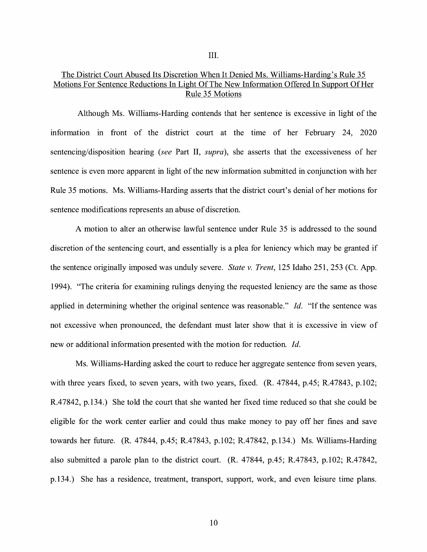III.

# The District Court Abused Its Discretion When It Denied Ms. Williams-Harding's Rule 35 Motions For Sentence Reductions In Light Of The New Information Offered In Support Of Her Rule 35 Motions

Although Ms. Williams-Harding contends that her sentence is excessive in light of the information in front of the district court at the time of her February 24, 2020 sentencing/disposition hearing *(see* Part II, *supra),* she asserts that the excessiveness of her sentence is even more apparent in light of the new information submitted in conjunction with her Rule 35 motions. Ms. Williams-Harding asserts that the district court's denial of her motions for sentence modifications represents an abuse of discretion.

A motion to alter an otherwise lawful sentence under Rule 35 is addressed to the sound discretion of the sentencing court, and essentially is a plea for leniency which may be granted if the sentence originally imposed was unduly severe. *State v. Trent,* 125 Idaho 251, 253 (Ct. App. 1994). "The criteria for examining rulings denying the requested leniency are the same as those applied in determining whether the original sentence was reasonable." Id. "If the sentence was not excessive when pronounced, the defendant must later show that it is excessive in view of new or additional information presented with the motion for reduction. *Id.* 

Ms. Williams-Harding asked the court to reduce her aggregate sentence from seven years, with three years fixed, to seven years, with two years, fixed. (R. 47844, p.45; R.47843, p.102; R.4 7842, p.134.) She told the court that she wanted her fixed time reduced so that she could be eligible for the work center earlier and could thus make money to pay off her fmes and save towards her future. (R. 47844, p.45; R.47843, p.102; R.47842, p.134.) Ms. Williams-Harding also submitted a parole plan to the district court. (R. 47844, p.45; R.47843, p.102; R.47842, p.134.) She has a residence, treatment, transport, support, work, and even leisure time plans.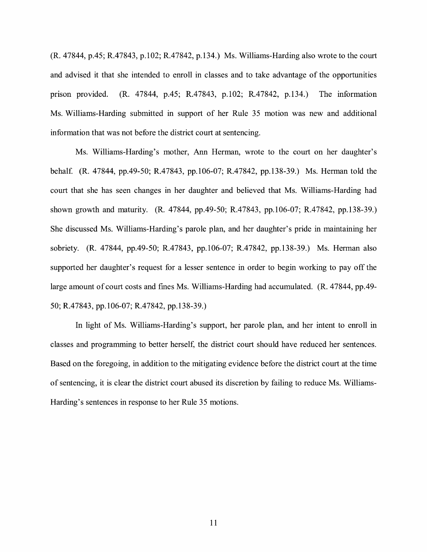(R. 47844, p.45; R.47843, p.102; R.47842, p.134.) Ms. Williams-Harding also wrote to the court and advised it that she intended to enroll in classes and to take advantage of the opportunities prison provided. (R. 47844, p.45; R.47843, p.102; R.47842, p.134.) The information Ms. Williams-Harding submitted in support of her Rule 35 motion was new and additional information that was not before the district court at sentencing.

Ms. Williams-Harding's mother, Ann Herman, wrote to the court on her daughter's behalf. (R. 47844, pp.49-50; R.47843, pp.106-07; R.47842, pp.138-39.) Ms. Herman told the court that she has seen changes in her daughter and believed that Ms. Williams-Harding had shown growth and maturity. (R. 47844, pp.49-50; R.47843, pp.106-07; R.47842, pp.138-39.) She discussed Ms. Williams-Harding's parole plan, and her daughter's pride in maintaining her sobriety. (R. 47844, pp.49-50; R.47843, pp.106-07; R.47842, pp.138-39.) Ms. Herman also supported her daughter's request for a lesser sentence in order to begin working to pay off the large amount of court costs and fines Ms. Williams-Harding had accumulated. (R. 47844, pp.49- 50; R.47843, pp.106-07; R.47842, pp.138-39.)

In light of Ms. Williams-Harding's support, her parole plan, and her intent to enroll in classes and programming to better herself, the district court should have reduced her sentences. Based on the foregoing, in addition to the mitigating evidence before the district court at the time of sentencing, it is clear the district court abused its discretion by failing to reduce Ms. Williams-Harding's sentences in response to her Rule 35 motions.